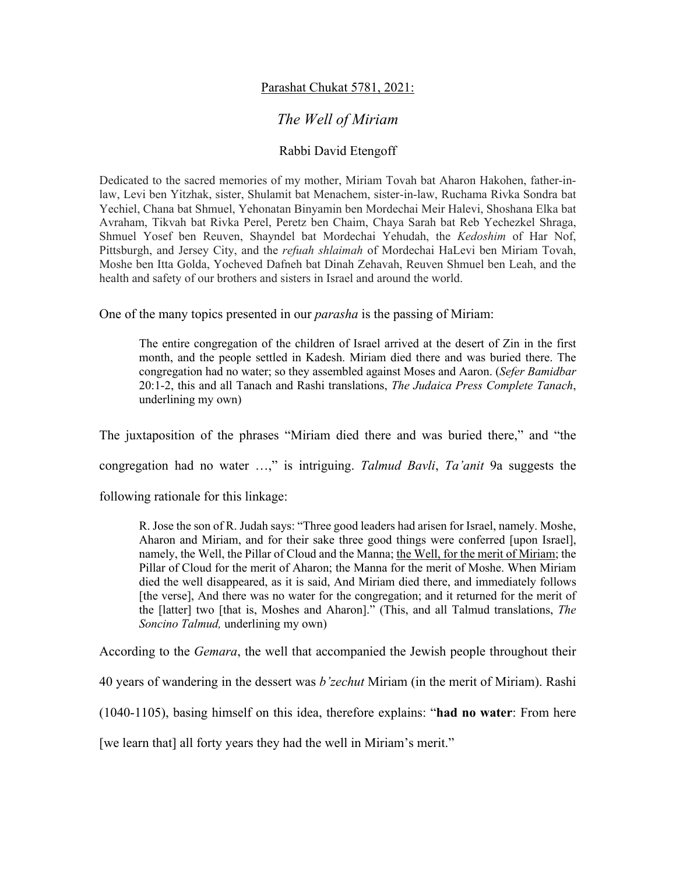## Parashat Chukat 5781, 2021:

## *The Well of Miriam*

## Rabbi David Etengoff

Dedicated to the sacred memories of my mother, Miriam Tovah bat Aharon Hakohen, father-inlaw, Levi ben Yitzhak, sister, Shulamit bat Menachem, sister-in-law, Ruchama Rivka Sondra bat Yechiel, Chana bat Shmuel, Yehonatan Binyamin ben Mordechai Meir Halevi, Shoshana Elka bat Avraham, Tikvah bat Rivka Perel, Peretz ben Chaim, Chaya Sarah bat Reb Yechezkel Shraga, Shmuel Yosef ben Reuven, Shayndel bat Mordechai Yehudah, the *Kedoshim* of Har Nof, Pittsburgh, and Jersey City, and the *refuah shlaimah* of Mordechai HaLevi ben Miriam Tovah, Moshe ben Itta Golda, Yocheved Dafneh bat Dinah Zehavah, Reuven Shmuel ben Leah, and the health and safety of our brothers and sisters in Israel and around the world.

One of the many topics presented in our *parasha* is the passing of Miriam:

The entire congregation of the children of Israel arrived at the desert of Zin in the first month, and the people settled in Kadesh. Miriam died there and was buried there. The congregation had no water; so they assembled against Moses and Aaron. (*Sefer Bamidbar*  20:1-2, this and all Tanach and Rashi translations, *The Judaica Press Complete Tanach*, underlining my own)

The juxtaposition of the phrases "Miriam died there and was buried there," and "the

congregation had no water …," is intriguing. *Talmud Bavli*, *Ta'anit* 9a suggests the

following rationale for this linkage:

R. Jose the son of R. Judah says: "Three good leaders had arisen for Israel, namely. Moshe, Aharon and Miriam, and for their sake three good things were conferred [upon Israel], namely, the Well, the Pillar of Cloud and the Manna; the Well, for the merit of Miriam; the Pillar of Cloud for the merit of Aharon; the Manna for the merit of Moshe. When Miriam died the well disappeared, as it is said, And Miriam died there, and immediately follows [the verse], And there was no water for the congregation; and it returned for the merit of the [latter] two [that is, Moshes and Aharon]." (This, and all Talmud translations, *The Soncino Talmud,* underlining my own)

According to the *Gemara*, the well that accompanied the Jewish people throughout their

40 years of wandering in the dessert was *b'zechut* Miriam (in the merit of Miriam). Rashi

(1040-1105), basing himself on this idea, therefore explains: "**had no water**: From here

[we learn that] all forty years they had the well in Miriam's merit."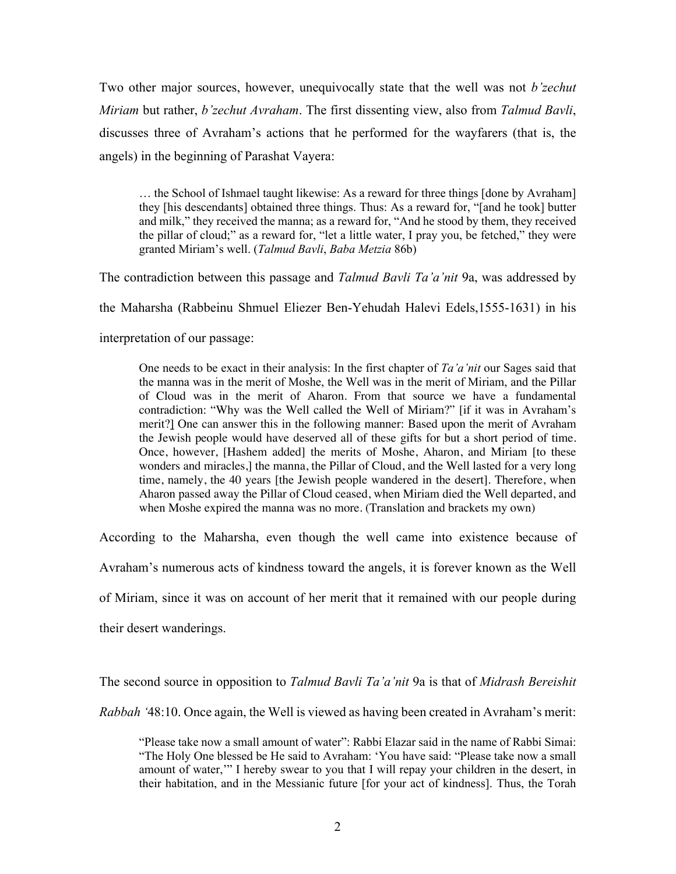Two other major sources, however, unequivocally state that the well was not *b'zechut Miriam* but rather, *b'zechut Avraham*. The first dissenting view, also from *Talmud Bavli*, discusses three of Avraham's actions that he performed for the wayfarers (that is, the angels) in the beginning of Parashat Vayera:

… the School of Ishmael taught likewise: As a reward for three things [done by Avraham] they [his descendants] obtained three things. Thus: As a reward for, "[and he took] butter and milk," they received the manna; as a reward for, "And he stood by them, they received the pillar of cloud;" as a reward for, "let a little water, I pray you, be fetched," they were granted Miriam's well. (*Talmud Bavli*, *Baba Metzia* 86b)

The contradiction between this passage and *Talmud Bavli Ta'a'nit* 9a, was addressed by

the Maharsha (Rabbeinu Shmuel Eliezer Ben-Yehudah Halevi Edels,1555-1631) in his

interpretation of our passage:

One needs to be exact in their analysis: In the first chapter of *Ta'a'nit* our Sages said that the manna was in the merit of Moshe, the Well was in the merit of Miriam, and the Pillar of Cloud was in the merit of Aharon. From that source we have a fundamental contradiction: "Why was the Well called the Well of Miriam?" [if it was in Avraham's merit?] One can answer this in the following manner: Based upon the merit of Avraham the Jewish people would have deserved all of these gifts for but a short period of time. Once, however, [Hashem added] the merits of Moshe, Aharon, and Miriam [to these wonders and miracles,] the manna, the Pillar of Cloud, and the Well lasted for a very long time, namely, the 40 years [the Jewish people wandered in the desert]. Therefore, when Aharon passed away the Pillar of Cloud ceased, when Miriam died the Well departed, and when Moshe expired the manna was no more. (Translation and brackets my own)

According to the Maharsha, even though the well came into existence because of

Avraham's numerous acts of kindness toward the angels, it is forever known as the Well

of Miriam, since it was on account of her merit that it remained with our people during

their desert wanderings.

The second source in opposition to *Talmud Bavli Ta'a'nit* 9a is that of *Midrash Bereishit* 

*Rabbah '*48:10. Once again, the Well is viewed as having been created in Avraham's merit:

"Please take now a small amount of water": Rabbi Elazar said in the name of Rabbi Simai: "The Holy One blessed be He said to Avraham: 'You have said: "Please take now a small amount of water,'" I hereby swear to you that I will repay your children in the desert, in their habitation, and in the Messianic future [for your act of kindness]. Thus, the Torah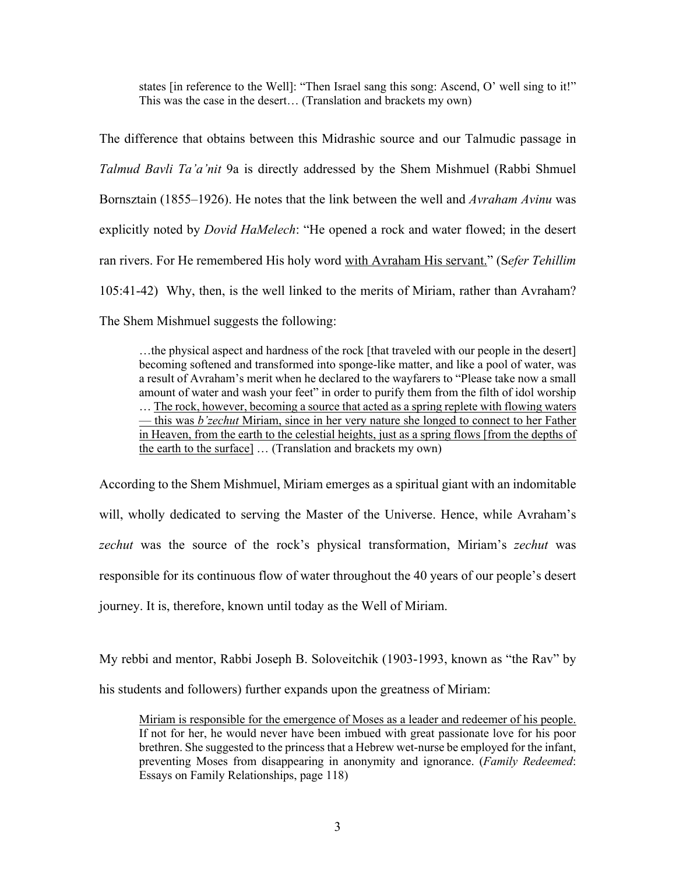states [in reference to the Well]: "Then Israel sang this song: Ascend, O' well sing to it!" This was the case in the desert… (Translation and brackets my own)

The difference that obtains between this Midrashic source and our Talmudic passage in *Talmud Bavli Ta'a'nit* 9a is directly addressed by the Shem Mishmuel (Rabbi Shmuel Bornsztain (1855–1926). He notes that the link between the well and *Avraham Avinu* was explicitly noted by *Dovid HaMelech*: "He opened a rock and water flowed; in the desert ran rivers. For He remembered His holy word with Avraham His servant." (S*efer Tehillim*  105:41-42) Why, then, is the well linked to the merits of Miriam, rather than Avraham? The Shem Mishmuel suggests the following:

…the physical aspect and hardness of the rock [that traveled with our people in the desert] becoming softened and transformed into sponge-like matter, and like a pool of water, was a result of Avraham's merit when he declared to the wayfarers to "Please take now a small amount of water and wash your feet" in order to purify them from the filth of idol worship ... The rock, however, becoming a source that acted as a spring replete with flowing waters — this was *b'zechut* Miriam, since in her very nature she longed to connect to her Father in Heaven, from the earth to the celestial heights, just as a spring flows [from the depths of the earth to the surface] ... (Translation and brackets my own)

According to the Shem Mishmuel, Miriam emerges as a spiritual giant with an indomitable will, wholly dedicated to serving the Master of the Universe. Hence, while Avraham's *zechut* was the source of the rock's physical transformation, Miriam's *zechut* was responsible for its continuous flow of water throughout the 40 years of our people's desert journey. It is, therefore, known until today as the Well of Miriam.

My rebbi and mentor, Rabbi Joseph B. Soloveitchik (1903-1993, known as "the Rav" by his students and followers) further expands upon the greatness of Miriam:

Miriam is responsible for the emergence of Moses as a leader and redeemer of his people. If not for her, he would never have been imbued with great passionate love for his poor brethren. She suggested to the princess that a Hebrew wet-nurse be employed for the infant, preventing Moses from disappearing in anonymity and ignorance. (*Family Redeemed*: Essays on Family Relationships, page 118)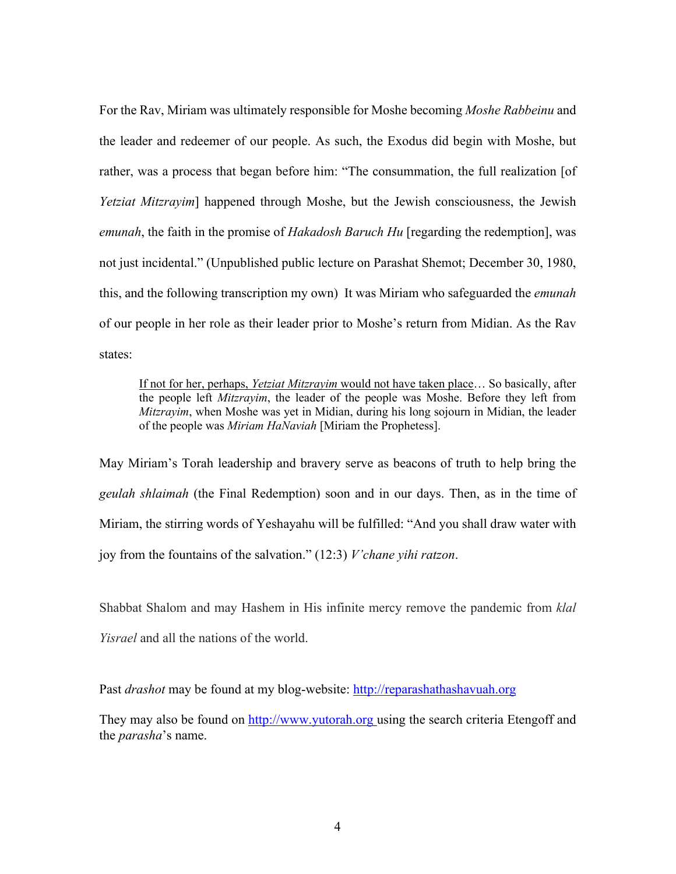For the Rav, Miriam was ultimately responsible for Moshe becoming *Moshe Rabbeinu* and the leader and redeemer of our people. As such, the Exodus did begin with Moshe, but rather, was a process that began before him: "The consummation, the full realization [of *Yetziat Mitzrayim*] happened through Moshe, but the Jewish consciousness, the Jewish *emunah*, the faith in the promise of *Hakadosh Baruch Hu* [regarding the redemption], was not just incidental." (Unpublished public lecture on Parashat Shemot; December 30, 1980, this, and the following transcription my own) It was Miriam who safeguarded the *emunah* of our people in her role as their leader prior to Moshe's return from Midian. As the Rav states:

If not for her, perhaps, *Yetziat Mitzrayim* would not have taken place… So basically, after the people left *Mitzrayim*, the leader of the people was Moshe. Before they left from *Mitzrayim*, when Moshe was yet in Midian, during his long sojourn in Midian, the leader of the people was *Miriam HaNaviah* [Miriam the Prophetess].

May Miriam's Torah leadership and bravery serve as beacons of truth to help bring the *geulah shlaimah* (the Final Redemption) soon and in our days. Then, as in the time of Miriam, the stirring words of Yeshayahu will be fulfilled: "And you shall draw water with joy from the fountains of the salvation." (12:3) *V'chane yihi ratzon*.

Shabbat Shalom and may Hashem in His infinite mercy remove the pandemic from *klal Yisrael* and all the nations of the world.

Past *drashot* may be found at my blog-website: http://reparashathashavuah.org

They may also be found on http://www.yutorah.org using the search criteria Etengoff and the *parasha*'s name.